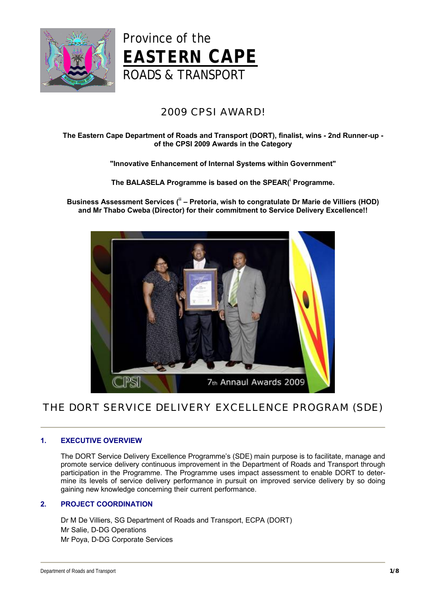



# 2009 CPSI AWARD!

# **The Eastern Cape Department of Roads and Transport (DORT), finalist, wins - 2nd Runner-up of the CPSI 2009 Awards in the Category**

# **"Innovative Enhancement of Internal Systems within Government"**

**The BALASELA Programme is based on the SPEAR( <sup>i</sup> Programme.**

**Business Assessment Services ( ii – Pretoria, wish to congratulate Dr Marie de Villiers (HOD) and Mr Thabo Cweba (Director) for their commitment to Service Delivery Excellence!!**



# THE DORT SERVICE DELIVERY EXCELLENCE PROGRAM (SDE)

# **1. EXECUTIVE OVERVIEW**

The DORT Service Delivery Excellence Programme's (SDE) main purpose is to facilitate, manage and promote service delivery continuous improvement in the Department of Roads and Transport through participation in the Programme. The Programme uses impact assessment to enable DORT to determine its levels of service delivery performance in pursuit on improved service delivery by so doing gaining new knowledge concerning their current performance.

# **2. PROJECT COORDINATION**

Dr M De Villiers, SG Department of Roads and Transport, ECPA (DORT) Mr Salie, D-DG Operations Mr Poya, D-DG Corporate Services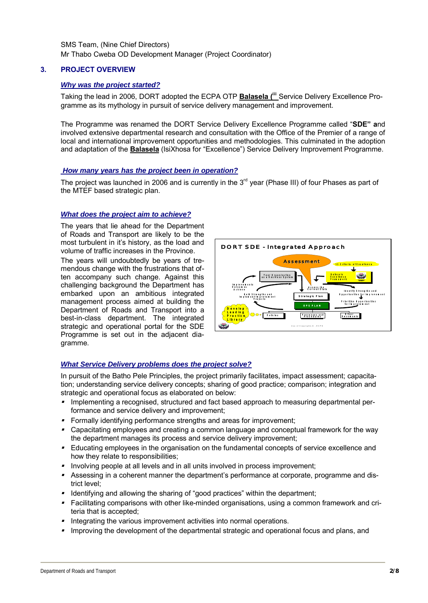SMS Team, (Nine Chief Directors) Mr Thabo Cweba OD Development Manager (Project Coordinator)

# **3. PROJECT OVERVIEW**

# *Why was the project started?*

Taking the lead in 2006, DORT adopted the ECPA OTP **Balasela ( iii** Service Delivery Excellence Programme as its mythology in pursuit of service delivery management and improvement.

The Programme was renamed the DORT Service Delivery Excellence Programme called "**SDE" a**nd involved extensive departmental research and consultation with the Office of the Premier of a range of local and international improvement opportunities and methodologies. This culminated in the adoption and adaptation of the **Balasela** (IsiXhosa for "Excellence") Service Delivery Improvement Programme.

## *How many years has the project been in operation?*

The project was launched in 2006 and is currently in the  $3<sup>rd</sup>$  year (Phase III) of four Phases as part of the MTEF based strategic plan.

## *What does the project aim to achieve?*

The years that lie ahead for the Department of Roads and Transport are likely to be the most turbulent in it's history, as the load and volume of traffic increases in the Province.

The years will undoubtedly be years of tremendous change with the frustrations that often accompany such change. Against this challenging background the Department has embarked upon an ambitious integrated management process aimed at building the Department of Roads and Transport into a best-in-class department. The integrated strategic and operational portal for the SDE Programme is set out in the adjacent diagramme.



# *What Service Delivery problems does the project solve?*

In pursuit of the Batho Pele Principles, the project primarily facilitates, impact assessment; capacitation; understanding service delivery concepts; sharing of good practice; comparison; integration and strategic and operational focus as elaborated on below:

- **Implementing a recognised, structured and fact based approach to measuring departmental per**formance and service delivery and improvement;
- Formally identifying performance strengths and areas for improvement;
- Capacitating employees and creating a common language and conceptual framework for the way the department manages its process and service delivery improvement;
- Educating employees in the organisation on the fundamental concepts of service excellence and how they relate to responsibilities;
- **Involving people at all levels and in all units involved in process improvement;**
- $\blacksquare$  Assessing in a coherent manner the department's performance at corporate, programme and district level;
- Identifying and allowing the sharing of "good practices" within the department;
- Facilitating comparisons with other like-minded organisations, using a common framework and criteria that is accepted;
- **Integrating the various improvement activities into normal operations.**
- ı Improving the development of the departmental strategic and operational focus and plans, and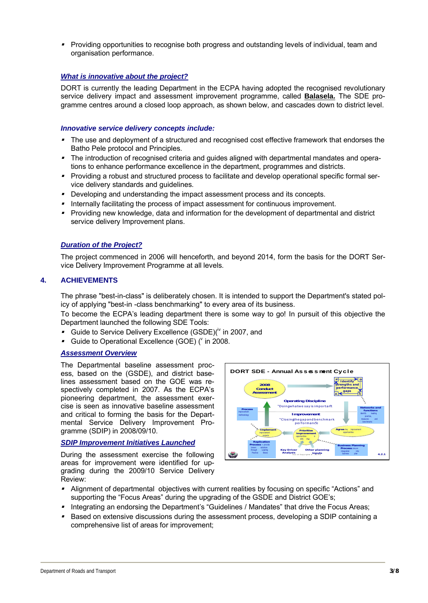■ Providing opportunities to recognise both progress and outstanding levels of individual, team and organisation performance.

# *What is innovative about the project?*

DORT is currently the leading Department in the ECPA having adopted the recognised revolutionary service delivery impact and assessment improvement programme, called **Balasela.** The SDE programme centres around a closed loop approach, as shown below, and cascades down to district level.

# *Innovative service delivery concepts include:*

- The use and deployment of a structured and recognised cost effective framework that endorses the Batho Pele protocol and Principles.
- The introduction of recognised criteria and guides aligned with departmental mandates and operations to enhance performance excellence in the department, programmes and districts.
- Providing a robust and structured process to facilitate and develop operational specific formal service delivery standards and guidelines.
- **Developing and understanding the impact assessment process and its concepts.**
- **Internally facilitating the process of impact assessment for continuous improvement.**
- Providing new knowledge, data and information for the development of departmental and district service delivery Improvement plans.

# *Duration of the Project?*

The project commenced in 2006 will henceforth, and beyond 2014, form the basis for the DORT Service Delivery Improvement Programme at all levels.

# **4. ACHIEVEMENTS**

The phrase "best-in-class" is deliberately chosen. It is intended to support the Department's stated policy of applying "best-in -class benchmarking" to every area of its business.

To become the ECPA's leading department there is some way to go! In pursuit of this objective the Department launched the following SDE Tools:

- Guide to Service Delivery Excellence (GSDE)( $\dot{v}$  in 2007, and
- Guide to Operational Excellence (GOE) ( $\degree$  in 2008.

## *Assessment Overview*

The Departmental baseline assessment process, based on the (GSDE), and district baselines assessment based on the GOE was respectively completed in 2007. As the ECPA's pioneering department, the assessment exercise is seen as innovative baseline assessment and critical to forming the basis for the Departmental Service Delivery Improvement Programme (SDIP) in 2008/09/10.

# *SDIP Improvement Initiatives Launched*

During the assessment exercise the following areas for improvement were identified for upgrading during the 2009/10 Service Delivery Review:



- ı Alignment of departmental objectives with current realities by focusing on specific "Actions" and supporting the "Focus Areas" during the upgrading of the GSDE and District GOE's;
- Integrating an endorsing the Department's "Guidelines / Mandates" that drive the Focus Areas;
- ı Based on extensive discussions during the assessment process, developing a SDIP containing a comprehensive list of areas for improvement;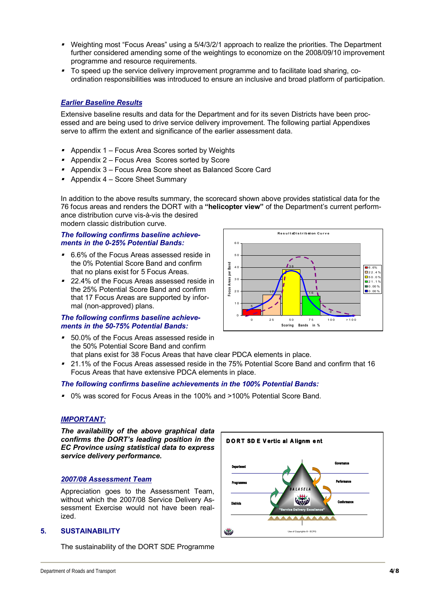- Weighting most "Focus Areas" using a 5/4/3/2/1 approach to realize the priorities. The Department further considered amending some of the weightings to economize on the 2008/09/10 improvement programme and resource requirements.
- To speed up the service delivery improvement programme and to facilitate load sharing, coordination responsibilities was introduced to ensure an inclusive and broad platform of participation.

# *Earlier Baseline Results*

Extensive baseline results and data for the Department and for its seven Districts have been processed and are being used to drive service delivery improvement. The following partial Appendixes serve to affirm the extent and significance of the earlier assessment data.

- Appendix 1 Focus Area Scores sorted by Weights
- Appendix 2 Focus Area Scores sorted by Score
- ı Appendix 3 – Focus Area Score sheet as Balanced Score Card
- Appendix 4 Score Sheet Summary

In addition to the above results summary, the scorecard shown above provides statistical data for the 76 focus areas and renders the DORT with a **"helicopter view"** of the Department's current performance distribution curve vis-à-vis the desired modern classic distribution curve.

## *The following confirms baseline achievements in the 0-25% Potential Bands:*

- $\blacksquare$  6.6% of the Focus Areas assessed reside in the 0% Potential Score Band and confirm that no plans exist for 5 Focus Areas.
- 22.4% of the Focus Areas assessed reside in the 25% Potential Score Band and confirm that 17 Focus Areas are supported by informal (non-approved) plans.

## *The following confirms baseline achievements in the 50-75% Potential Bands:*

■ 50.0% of the Focus Areas assessed reside in the 50% Potential Score Band and confirm that plans exist for 38 Focus Areas that have clear PDCA elements in place.



■ 21.1% of the Focus Areas assessed reside in the 75% Potential Score Band and confirm that 16 Focus Areas that have extensive PDCA elements in place.

# *The following confirms baseline achievements in the 100% Potential Bands:*

■ 0% was scored for Focus Areas in the 100% and >100% Potential Score Band.

#### *IMPORTANT:*

*The availability of the above graphical data confirms the DORT's leading position in the EC Province using statistical data to express service delivery performance.*

#### *2007/08 Assessment Team*

Appreciation goes to the Assessment Team, without which the 2007/08 Service Delivery Assessment Exercise would not have been realized.

# **5. SUSTAINABILITY**

The sustainability of the DORT SDE Programme

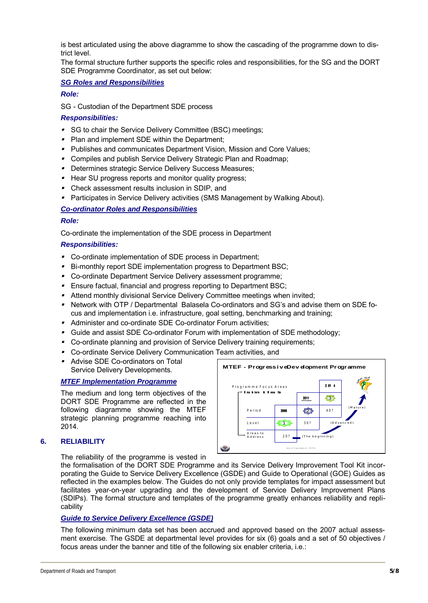is best articulated using the above diagramme to show the cascading of the programme down to district level.

The formal structure further supports the specific roles and responsibilities, for the SG and the DORT SDE Programme Coordinator, as set out below:

## *SG Roles and Responsibilities*

#### *Role:*

SG - Custodian of the Department SDE process

## *Responsibilities:*

- **SG to chair the Service Delivery Committee (BSC) meetings;**
- Plan and implement SDE within the Department;
- Publishes and communicates Department Vision, Mission and Core Values;
- Compiles and publish Service Delivery Strategic Plan and Roadmap;
- **Determines strategic Service Delivery Success Measures;**
- Hear SU progress reports and monitor quality progress;
- Check assessment results inclusion in SDIP, and
- Participates in Service Delivery activities (SMS Management by Walking About).

# *Co-ordinator Roles and Responsibilities*

#### *Role:*

Co-ordinate the implementation of the SDE process in Department

## *Responsibilities:*

- Co-ordinate implementation of SDE process in Department;
- Bi-monthly report SDE implementation progress to Department BSC;
- Co-ordinate Department Service Delivery assessment programme;
- Ensure factual, financial and progress reporting to Department BSC;
- Attend monthly divisional Service Delivery Committee meetings when invited;
- ı Network with OTP / Departmental Balasela Co-ordinators and SG's and advise them on SDE focus and implementation i.e. infrastructure, goal setting, benchmarking and training;
- Administer and co-ordinate SDE Co-ordinator Forum activities;
- Guide and assist SDE Co-ordinator Forum with implementation of SDE methodology;
- Co-ordinate planning and provision of Service Delivery training requirements;
- Co-ordinate Service Delivery Communication Team activities, and
- Advise SDE Co-ordinators on Total Service Delivery Developments.

# *MTEF Implementation Programme*

The medium and long term objectives of the DORT SDE Programme are reflected in the following diagramme showing the MTEF strategic planning programme reaching into 2014.

# **6. RELIABILITY**

The reliability of the programme is vested in



the formalisation of the DORT SDE Programme and its Service Delivery Improvement Tool Kit incorporating the Guide to Service Delivery Excellence (GSDE) and Guide to Operational (GOE) Guides as reflected in the examples below. The Guides do not only provide templates for impact assessment but facilitates year-on-year upgrading and the development of Service Delivery Improvement Plans (SDIPs). The formal structure and templates of the programme greatly enhances reliability and replicability

#### *Guide to Service Delivery Excellence (GSDE)*

The following minimum data set has been accrued and approved based on the 2007 actual assessment exercise. The GSDE at departmental level provides for six (6) goals and a set of 50 objectives / focus areas under the banner and title of the following six enabler criteria, i.e.: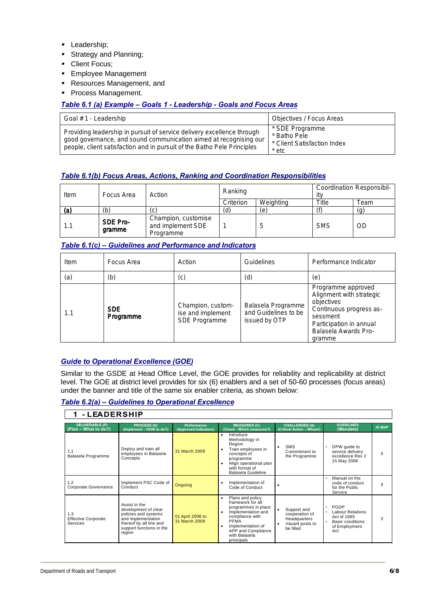- **Leadership**;
- Strategy and Planning;
- Client Focus;
- Employee Management
- Resources Management, and
- **Process Management.**

# *Table 6.1 (a) Example – Goals 1 - Leadership - Goals and Focus Areas*

| Goal # 1 - Leadership                                                                                                                                                                                                  | Objectives / Focus Areas                                                |
|------------------------------------------------------------------------------------------------------------------------------------------------------------------------------------------------------------------------|-------------------------------------------------------------------------|
| Providing leadership in pursuit of service delivery excellence through<br>good governance, and sound communication aimed at recognising our<br>people, client satisfaction and in pursuit of the Batho Pele Principles | * SDE Programme<br>* Batho Pele<br>* Client Satisfaction Index<br>* etc |

# *Table 6.1(b) Focus Areas, Actions, Ranking and Coordination Responsibilities*

| Item | Focus Area         | Action                                                | Ranking   |           | Coordination Responsibil-<br>itv |      |  |
|------|--------------------|-------------------------------------------------------|-----------|-----------|----------------------------------|------|--|
|      |                    |                                                       | Criterion | Weighting | Title                            | Геаm |  |
| (a)  | (b)                |                                                       | (d)       | e)        |                                  | (g)  |  |
| 1.1  | SDE Pro-<br>gramme | Champion, customise<br>and implement SDE<br>Programme |           |           | <b>SMS</b>                       | OD   |  |

## *Table 6.1(c) – Guidelines and Performance and Indicators*

| Item | Focus Area              | Action                                                  | <b>Guidelines</b>                                           | Performance Indicator                                                                                                                                            |
|------|-------------------------|---------------------------------------------------------|-------------------------------------------------------------|------------------------------------------------------------------------------------------------------------------------------------------------------------------|
| (a)  | (b)                     | (c)                                                     | (d)                                                         | (e)                                                                                                                                                              |
| 1.1  | <b>SDE</b><br>Programme | Champion, custom-<br>ise and implement<br>SDE Programme | Balasela Programme<br>and Guidelines to be<br>issued by OTP | Programme approved<br>Alignment with strategic<br>objectives<br>Continuous progress as-<br>sessment<br>Participation in annual<br>Balasela Awards Pro-<br>gramme |

# *Guide to Operational Excellence (GOE)*

Similar to the GSDE at Head Office Level, the GOE provides for reliability and replicability at district level. The GOE at district level provides for six (6) enablers and a set of 50-60 processes (focus areas) under the banner and title of the same six enabler criteria, as shown below:

*Table 6.2(a) – Guidelines to Operational Excellence*

| - LEADERSHIP                                         |                                                                                                                                                      |                                             |                                                                                                                                                                                                     |                                                                               |                                                                                            |               |
|------------------------------------------------------|------------------------------------------------------------------------------------------------------------------------------------------------------|---------------------------------------------|-----------------------------------------------------------------------------------------------------------------------------------------------------------------------------------------------------|-------------------------------------------------------------------------------|--------------------------------------------------------------------------------------------|---------------|
| <b>DELIVERABLE (P)</b><br>(Plan - What to do?)       | <b>PROCESS (D)</b><br>(Implement - HOW to do?)                                                                                                       | <b>Performance</b><br>(Approved Indicators) | <b>MEASURES (C)</b><br>(Check - Which measures?)                                                                                                                                                    | <b>CHALLENGES (A)</b><br>(Critical Action - Whow!)                            | <b>GUIDELINES</b><br>(Mandate)                                                             | <b>IO MAP</b> |
| 1.1<br>Balasela Programme                            | Deploy and train all<br>employees in Balasela<br>Concepts                                                                                            | 31 March 2009                               | Introduce<br>٠<br>Methodology in<br>Region<br>Train employees in<br>concepts of<br>programme<br>Align operational plan<br>with format of<br>Balasela Guideline                                      | <b>SMS</b><br>Commitment to<br>the Programme                                  | DPW quide to<br>service delivery<br>excellence Rev 2<br>15 May 2006                        | 5             |
| 1.2<br>Corporate Governance                          | Implement PSC Code of<br>Conduct                                                                                                                     | <b>Ongoing</b>                              | Implementation of<br>Code of Conduct                                                                                                                                                                |                                                                               | Manual on the<br>code of conduct<br>for the Public<br>Service                              | 5             |
| 1.3<br><b>Effective Corporate</b><br><b>Services</b> | Assist in the<br>development of clear<br>policies and systems<br>and implementation<br>thereof by all line and<br>support functions in the<br>region | 01 April 2008 to<br>31 March 2009           | Plans and policy<br>٠<br>framework for all<br>programmes in place<br>Implementation and<br>compliance with<br><b>PFMA</b><br>Implementation of<br>APP and Compliance<br>with Balasela<br>principals | Support and<br>cooperation of<br>Headquarters<br>Vacant posts to<br>be filled | PGDP<br><b>Labour Relations</b><br>Act of 1995<br>Basic conditions<br>of Employment<br>Act | 5             |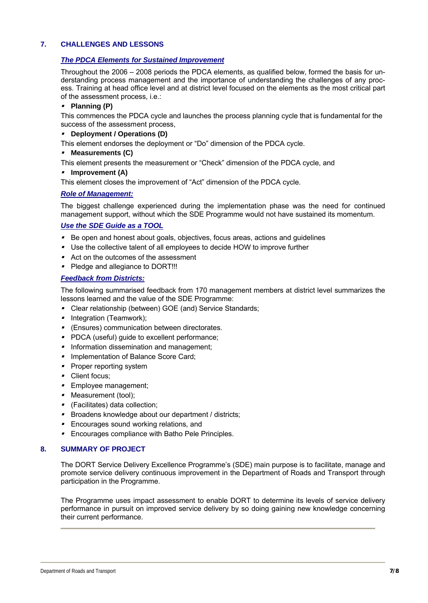# **7. CHALLENGES AND LESSONS**

# *The PDCA Elements for Sustained Improvement*

Throughout the 2006 – 2008 periods the PDCA elements, as qualified below, formed the basis for understanding process management and the importance of understanding the challenges of any process. Training at head office level and at district level focused on the elements as the most critical part of the assessment process, i.e.:

## **Planning (P)**

This commences the PDCA cycle and launches the process planning cycle that is fundamental for the success of the assessment process,

#### **Deployment / Operations (D)**

This element endorses the deployment or "Do" dimension of the PDCA cycle.

**Measurements (C)**

This element presents the measurement or "Check" dimension of the PDCA cycle, and

## **Improvement (A)**

This element closes the improvement of "Act" dimension of the PDCA cycle.

## *Role of Management:*

The biggest challenge experienced during the implementation phase was the need for continued management support, without which the SDE Programme would not have sustained its momentum.

## *Use the SDE Guide as a TOOL*

- ı Be open and honest about goals, objectives, focus areas, actions and guidelines
- Use the collective talent of all employees to decide HOW to improve further
- Act on the outcomes of the assessment
- Pledge and allegiance to DORT!!!

# *Feedback from Districts:*

The following summarised feedback from 170 management members at district level summarizes the lessons learned and the value of the SDE Programme:

- Clear relationship (between) GOE (and) Service Standards;
- Integration (Teamwork);
- (Ensures) communication between directorates.
- **PDCA (useful) guide to excellent performance;**
- **Information dissemination and management;**
- **Implementation of Balance Score Card;**
- **Proper reporting system**
- Client focus;
- **Employee management;**
- Measurement (tool);
- (Facilitates) data collection;
- **Broadens knowledge about our department / districts;**
- **Encourages sound working relations, and**
- **Encourages compliance with Batho Pele Principles.**

# **8. SUMMARY OF PROJECT**

The DORT Service Delivery Excellence Programme's (SDE) main purpose is to facilitate, manage and promote service delivery continuous improvement in the Department of Roads and Transport through participation in the Programme.

The Programme uses impact assessment to enable DORT to determine its levels of service delivery performance in pursuit on improved service delivery by so doing gaining new knowledge concerning their current performance.